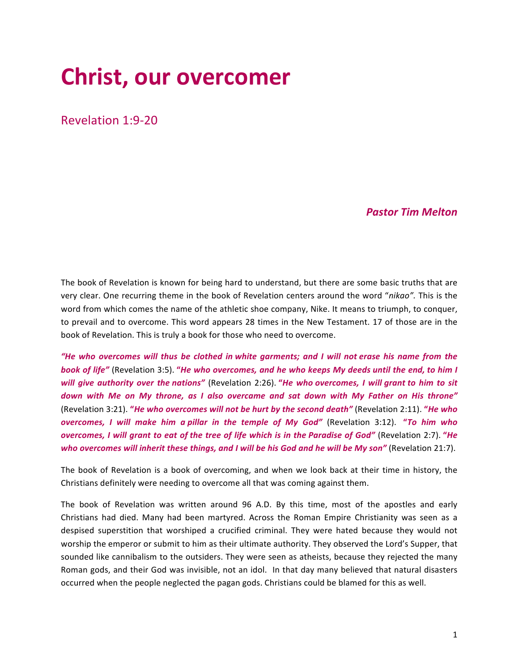# **Christ, our overcomer**

Revelation 1:9-20

#### *Pastor Tim Melton*

The book of Revelation is known for being hard to understand, but there are some basic truths that are very clear. One recurring theme in the book of Revelation centers around the word "nikao". This is the word from which comes the name of the athletic shoe company, Nike. It means to triumph, to conquer, to prevail and to overcome. This word appears 28 times in the New Testament. 17 of those are in the book of Revelation. This is truly a book for those who need to overcome.

*"He* who overcomes will thus be clothed in white garments; and I will not erase his name from the *book of life"* (Revelation 3:5). "*He* who overcomes, and he who keeps My deeds until the end, to him I *will give authority over the nations"* (Revelation 2:26). "*He who overcomes, I will grant to him to sit* down with Me on My throne, as I also overcame and sat down with My Father on His throne" (Revelation 3:21). "*He who overcomes will not be hurt by the second death"* (Revelation 2:11). "*He who overcomes, I will make him a pillar in the temple of My God"* (Revelation 3:12). "To him who *overcomes, I will grant to eat of the tree of life which is in the Paradise of God"* (Revelation 2:7). "*He* who overcomes will inherit these things, and I will be his God and he will be My son" (Revelation 21:7).

The book of Revelation is a book of overcoming, and when we look back at their time in history, the Christians definitely were needing to overcome all that was coming against them.

The book of Revelation was written around 96 A.D. By this time, most of the apostles and early Christians had died. Many had been martyred. Across the Roman Empire Christianity was seen as a despised superstition that worshiped a crucified criminal. They were hated because they would not worship the emperor or submit to him as their ultimate authority. They observed the Lord's Supper, that sounded like cannibalism to the outsiders. They were seen as atheists, because they rejected the many Roman gods, and their God was invisible, not an idol. In that day many believed that natural disasters occurred when the people neglected the pagan gods. Christians could be blamed for this as well.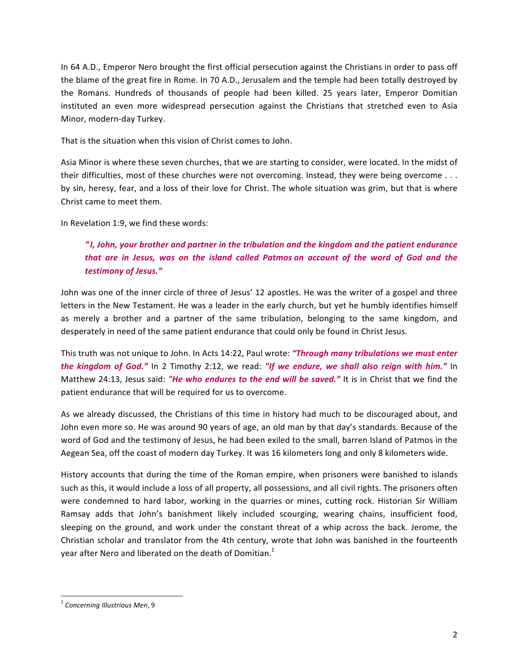In 64 A.D., Emperor Nero brought the first official persecution against the Christians in order to pass off the blame of the great fire in Rome. In 70 A.D., Jerusalem and the temple had been totally destroyed by the Romans. Hundreds of thousands of people had been killed. 25 years later, Emperor Domitian instituted an even more widespread persecution against the Christians that stretched even to Asia Minor, modern-day Turkey.

That is the situation when this vision of Christ comes to John.

Asia Minor is where these seven churches, that we are starting to consider, were located. In the midst of their difficulties, most of these churches were not overcoming. Instead, they were being overcome  $\dots$ by sin, heresy, fear, and a loss of their love for Christ. The whole situation was grim, but that is where Christ came to meet them.

In Revelation 1:9, we find these words:

## *" I, John, your brother and partner in the tribulation and the kingdom and the patient endurance that are in Jesus, was on the island called Patmos on account of the word of God and the testimony of Jesus."*

John was one of the inner circle of three of Jesus' 12 apostles. He was the writer of a gospel and three letters in the New Testament. He was a leader in the early church, but yet he humbly identifies himself as merely a brother and a partner of the same tribulation, belonging to the same kingdom, and desperately in need of the same patient endurance that could only be found in Christ Jesus.

This truth was not unique to John. In Acts 14:22, Paul wrote: "Through many tribulations we must enter *the kingdom of God."* In 2 Timothy 2:12, we read: "If we endure, we shall also reign with him." In Matthew 24:13, Jesus said: "He who endures to the end will be saved." It is in Christ that we find the patient endurance that will be required for us to overcome.

As we already discussed, the Christians of this time in history had much to be discouraged about, and John even more so. He was around 90 years of age, an old man by that day's standards. Because of the word of God and the testimony of Jesus, he had been exiled to the small, barren Island of Patmos in the Aegean Sea, off the coast of modern day Turkey. It was 16 kilometers long and only 8 kilometers wide.

History accounts that during the time of the Roman empire, when prisoners were banished to islands such as this, it would include a loss of all property, all possessions, and all civil rights. The prisoners often were condemned to hard labor, working in the quarries or mines, cutting rock. Historian Sir William Ramsay adds that John's banishment likely included scourging, wearing chains, insufficient food, sleeping on the ground, and work under the constant threat of a whip across the back. Jerome, the Christian scholar and translator from the 4th century, wrote that John was banished in the fourteenth year after Nero and liberated on the death of Domitian.<sup>1</sup>

<sup>&</sup>lt;sup>1</sup> Concerning Illustrious Men, 9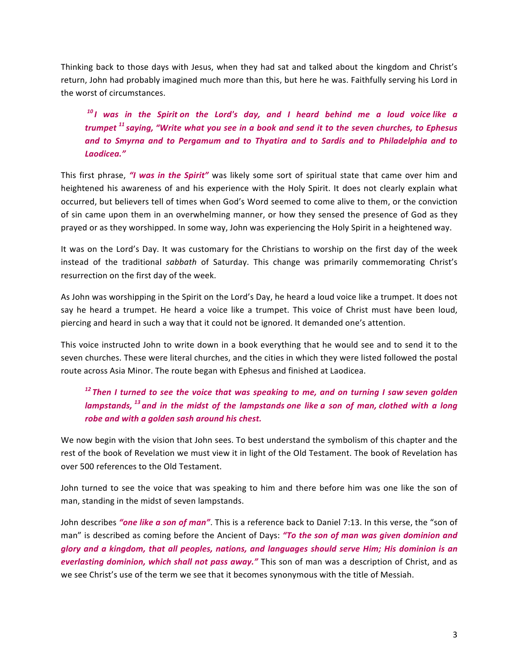Thinking back to those days with Jesus, when they had sat and talked about the kingdom and Christ's return, John had probably imagined much more than this, but here he was. Faithfully serving his Lord in the worst of circumstances.

<sup>10</sup> *I* was in the Spirit on the Lord's day, and *I* heard behind me a loud voice like a *trumpet* <sup>11</sup> saying, "Write what you see in a book and send it to the seven churches, to Ephesus and to Smyrna and to Pergamum and to Thyatira and to Sardis and to Philadelphia and to *Laodicea."*

This first phrase, *"I* was in the Spirit" was likely some sort of spiritual state that came over him and heightened his awareness of and his experience with the Holy Spirit. It does not clearly explain what occurred, but believers tell of times when God's Word seemed to come alive to them, or the conviction of sin came upon them in an overwhelming manner, or how they sensed the presence of God as they prayed or as they worshipped. In some way, John was experiencing the Holy Spirit in a heightened way.

It was on the Lord's Day. It was customary for the Christians to worship on the first day of the week instead of the traditional *sabbath* of Saturday. This change was primarily commemorating Christ's resurrection on the first day of the week.

As John was worshipping in the Spirit on the Lord's Day, he heard a loud voice like a trumpet. It does not say he heard a trumpet. He heard a voice like a trumpet. This voice of Christ must have been loud, piercing and heard in such a way that it could not be ignored. It demanded one's attention.

This voice instructed John to write down in a book everything that he would see and to send it to the seven churches. These were literal churches, and the cities in which they were listed followed the postal route across Asia Minor. The route began with Ephesus and finished at Laodicea.

## <sup>12</sup> Then I turned to see the voice that was speaking to me, and on turning I saw seven golden *lampstands*, <sup>13</sup> and in the midst of the lampstands one like a son of man, clothed with a long robe and with a golden sash around his chest.

We now begin with the vision that John sees. To best understand the symbolism of this chapter and the rest of the book of Revelation we must view it in light of the Old Testament. The book of Revelation has over 500 references to the Old Testament.

John turned to see the voice that was speaking to him and there before him was one like the son of man, standing in the midst of seven lampstands.

John describes "one like a son of man". This is a reference back to Daniel 7:13. In this verse, the "son of man" is described as coming before the Ancient of Days: "To the son of man was given dominion and *glory* and a kingdom, that all peoples, nations, and languages should serve Him; His dominion is an *everlasting dominion, which shall not pass away."* This son of man was a description of Christ, and as we see Christ's use of the term we see that it becomes synonymous with the title of Messiah.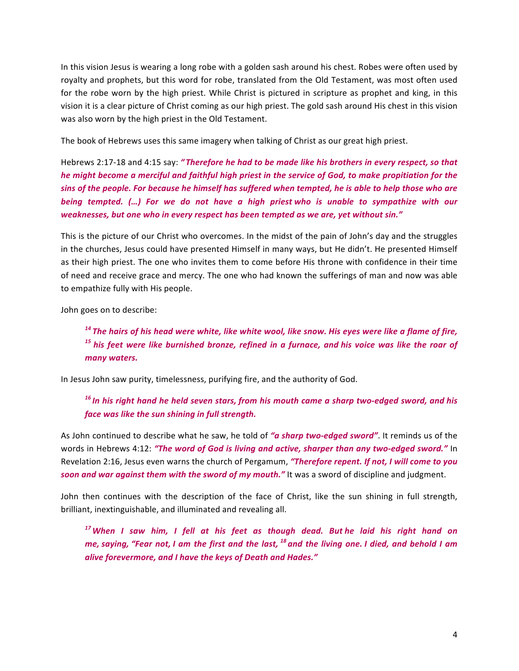In this vision Jesus is wearing a long robe with a golden sash around his chest. Robes were often used by royalty and prophets, but this word for robe, translated from the Old Testament, was most often used for the robe worn by the high priest. While Christ is pictured in scripture as prophet and king, in this vision it is a clear picture of Christ coming as our high priest. The gold sash around His chest in this vision was also worn by the high priest in the Old Testament.

The book of Hebrews uses this same imagery when talking of Christ as our great high priest.

Hebrews 2:17-18 and 4:15 say: "Therefore he had to be made like his brothers in every respect, so that *he* might become a merciful and faithful high priest in the service of God, to make propitiation for the sins of the people. For because he himself has suffered when tempted, he is able to help those who are *being tempted.* (...) For we do not have a high priest who is unable to sympathize with our weaknesses, but one who in every respect has been tempted as we are, yet without sin."

This is the picture of our Christ who overcomes. In the midst of the pain of John's day and the struggles in the churches, Jesus could have presented Himself in many ways, but He didn't. He presented Himself as their high priest. The one who invites them to come before His throne with confidence in their time of need and receive grace and mercy. The one who had known the sufferings of man and now was able to empathize fully with His people.

John goes on to describe:

<sup>14</sup> The hairs of his head were white, like white wool, like snow. His eyes were like a flame of fire, <sup>15</sup> his feet were like burnished bronze, refined in a furnace, and his voice was like the roar of *many waters.*

In Jesus John saw purity, timelessness, purifying fire, and the authority of God.

<sup>16</sup> In his right hand he held seven stars, from his mouth came a sharp two-edged sword, and his *face was like the sun shining in full strength.*

As John continued to describe what he saw, he told of "a sharp two-edged sword". It reminds us of the words in Hebrews 4:12: "The word of God is living and active, sharper than any two-edged sword." In Revelation 2:16, Jesus even warns the church of Pergamum, "Therefore repent. If not, I will come to you soon and war against them with the sword of my mouth." It was a sword of discipline and judgment.

John then continues with the description of the face of Christ, like the sun shining in full strength, brilliant, inextinguishable, and illuminated and revealing all.

<sup>17</sup>When I saw him, I fell at his feet as though dead. Buthe laid his right hand on *me,* saying, "Fear not, I am the first and the last, <sup>18</sup> and the living one. I died, and behold I am *alive forevermore, and I have the keys of Death and Hades."*